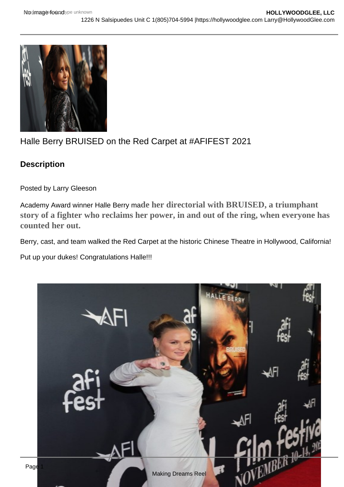## Halle Berry BRUISED on the Red Carpet at #AFIFEST 2021

**Description** 

Posted by Larry Gleeson

Academy Award winner Halle Berry made her directorial with BRUISED, a triumphant story of a fighter who reclaims her power, in and out of the ring, when everyone has counted her out.

Berry, cast, and team walked the Red Carpet at the historic Chinese Theatre in Hollywood, California!

Put up your dukes! Congratulations Halle!!!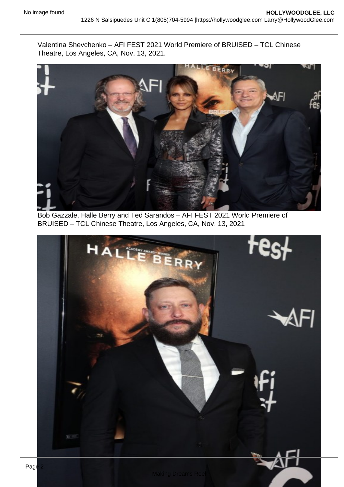Valentina Shevchenko – AFI FEST 2021 World Premiere of BRUISED – TCL Chinese Theatre, Los Angeles, CA, Nov. 13, 2021.

Bob Gazzale, Halle Berry and Ted Sarandos – AFI FEST 2021 World Premiere of BRUISED – TCL Chinese Theatre, Los Angeles, CA, Nov. 13, 2021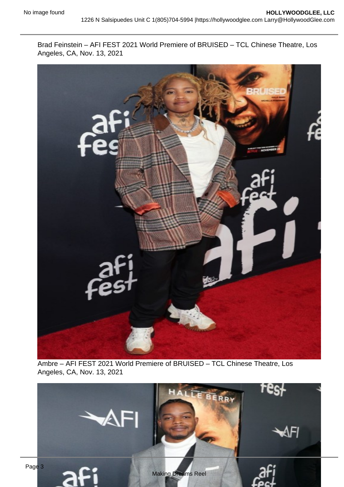Brad Feinstein – AFI FEST 2021 World Premiere of BRUISED – TCL Chinese Theatre, Los Angeles, CA, Nov. 13, 2021

Ambre – AFI FEST 2021 World Premiere of BRUISED – TCL Chinese Theatre, Los Angeles, CA, Nov. 13, 2021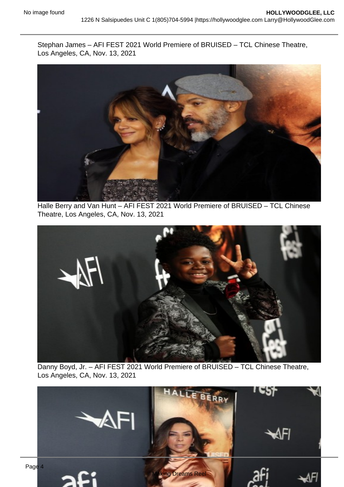Stephan James – AFI FEST 2021 World Premiere of BRUISED – TCL Chinese Theatre, Los Angeles, CA, Nov. 13, 2021

Halle Berry and Van Hunt – AFI FEST 2021 World Premiere of BRUISED – TCL Chinese Theatre, Los Angeles, CA, Nov. 13, 2021

Danny Boyd, Jr. – AFI FEST 2021 World Premiere of BRUISED – TCL Chinese Theatre, Los Angeles, CA, Nov. 13, 2021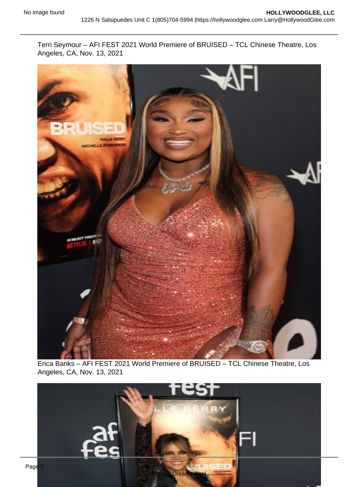Terri Seymour – AFI FEST 2021 World Premiere of BRUISED – TCL Chinese Theatre, Los Angeles, CA, Nov. 13, 2021

Erica Banks – AFI FEST 2021 World Premiere of BRUISED – TCL Chinese Theatre, Los Angeles, CA, Nov. 13, 2021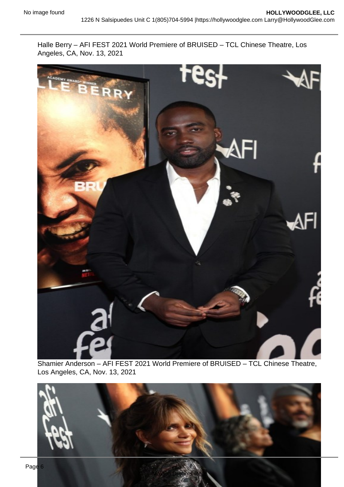Halle Berry – AFI FEST 2021 World Premiere of BRUISED – TCL Chinese Theatre, Los Angeles, CA, Nov. 13, 2021

Shamier Anderson – AFI FEST 2021 World Premiere of BRUISED – TCL Chinese Theatre, Los Angeles, CA, Nov. 13, 2021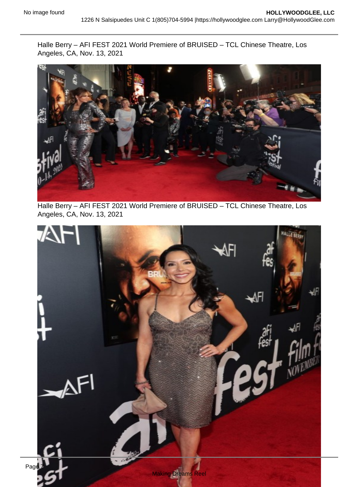Halle Berry – AFI FEST 2021 World Premiere of BRUISED – TCL Chinese Theatre, Los Angeles, CA, Nov. 13, 2021

Halle Berry – AFI FEST 2021 World Premiere of BRUISED – TCL Chinese Theatre, Los Angeles, CA, Nov. 13, 2021